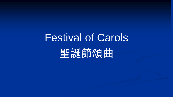聖誕節頌曲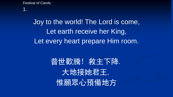1.

### Joy to the world! The Lord is come, Let earth receive her King, Let every heart prepare Him room.

# 普世歡騰! 救主下降. 大地接她君王, 惟願眾心預備地方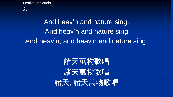2.

## And heav'n and nature sing, And heav'n and nature sing. And heav'n, and heav'n and nature sing.

# 諸天萬物歌唱 諸天萬物歌唱 諸天,諸天萬物歌唱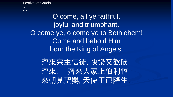#### 3.

O come, all ye faithful, joyful and triumphant. O come ye, o come ye to Bethlehem! Come and behold Him born the King of Angels!

齊來宗主信徒,快樂又歡欣. 齊來,一齊來大家上伯利恆. 來朝見聖嬰,天使王已降生.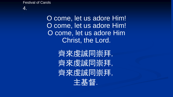

O come, let us adore Him! O come, let us adore Him! O come, let us adore Him Christ, the Lord.

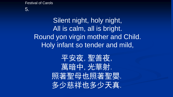5.

Silent night, holy night, All is calm, all is bright. Round yon virgin mother and Child. Holy infant so tender and mild,

> 平安夜,聖善夜, 萬暗中,光華射. 照著聖母也照著聖嬰. 多少慈祥也多少天真.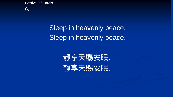6.

### Sleep in heavenly peace, Sleep in heavenly peace.

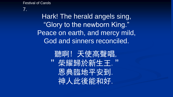7.

Hark! The herald angels sing, "Glory to the newborn King." Peace on earth, and mercy mild, God and sinners reconciled.

> 聽啊! 天使高聲唱, "紫耀歸於新生王." 恩典臨地平安到. 神人此後能和好.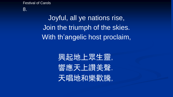#### 8.

Joyful, all ye nations rise, Join the triumph of the skies. With th'angelic host proclaim,

> 興起地上眾生靈, 響應天上讚美聲. 天唱地和樂歡騰,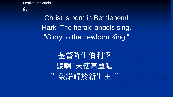#### 9.

Christ is born in Bethlehem! Hark! The herald angels sing, "Glory to the newborn King."

基督降生伯利恆. 聽啊!天使高聲唱, "铁耀歸於新生王."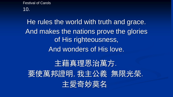10.

He rules the world with truth and grace. And makes the nations prove the glories of His righteousness, And wonders of His love.

主藉真理恩治萬方. 要使萬邦證明,我主公義無限光榮. 主愛奇妙莫名.